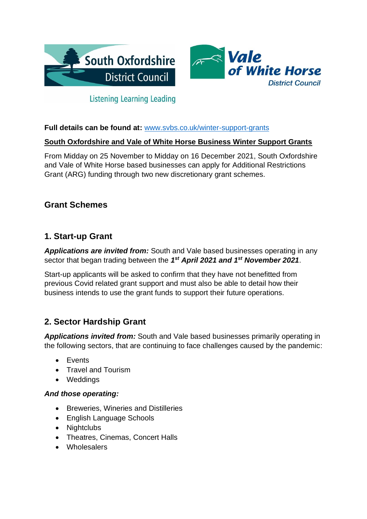



# **Listening Learning Leading**

### **Full details can be found at:** [www.svbs.co.uk/winter-support-grants](http://www.svbs.co.uk/winter-support-grants/)

### **South Oxfordshire and Vale of White Horse Business Winter Support Grants**

From Midday on 25 November to Midday on 16 December 2021, South Oxfordshire and Vale of White Horse based businesses can apply for Additional Restrictions Grant (ARG) funding through two new discretionary grant schemes.

## **Grant Schemes**

## **1. Start-up Grant**

*Applications are invited from:* South and Vale based businesses operating in any sector that began trading between the *1 st April 2021 and 1st November 2021*.

Start-up applicants will be asked to confirm that they have not benefitted from previous Covid related grant support and must also be able to detail how their business intends to use the grant funds to support their future operations.

# **2. Sector Hardship Grant**

*Applications invited from:* South and Vale based businesses primarily operating in the following sectors, that are continuing to face challenges caused by the pandemic:

- Events
- Travel and Tourism
- Weddings

#### *And those operating:*

- Breweries, Wineries and Distilleries
- English Language Schools
- Nightclubs
- Theatres, Cinemas, Concert Halls
- Wholesalers